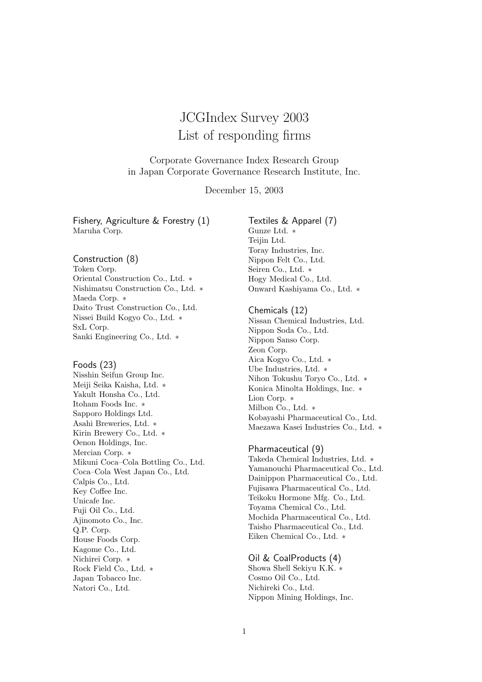# JCGIndex Survey 2003 List of responding firms

Corporate Governance Index Research Group in Japan Corporate Governance Research Institute, Inc.

December 15, 2003

Fishery, Agriculture & Forestry (1) Maruha Corp.

#### Construction (8)

Token Corp. Oriental Construction Co., Ltd. ∗ Nishimatsu Construction Co., Ltd. ∗ Maeda Corp. ∗ Daito Trust Construction Co., Ltd. Nissei Build Kogyo Co., Ltd. ∗ SxL Corp. Sanki Engineering Co., Ltd. ∗

#### Foods (23)

Nisshin Seifun Group Inc. Meiji Seika Kaisha, Ltd. ∗ Yakult Honsha Co., Ltd. Itoham Foods Inc. ∗ Sapporo Holdings Ltd. Asahi Breweries, Ltd. ∗ Kirin Brewery Co., Ltd. ∗ Oenon Holdings, Inc. Mercian Corp. ∗ Mikuni Coca–Cola Bottling Co., Ltd. Coca–Cola West Japan Co., Ltd. Calpis Co., Ltd. Key Coffee Inc. Unicafe Inc. Fuji Oil Co., Ltd. Ajinomoto Co., Inc. Q.P. Corp. House Foods Corp. Kagome Co., Ltd. Nichirei Corp. ∗ Rock Field Co., Ltd. ∗ Japan Tobacco Inc. Natori Co., Ltd.

Textiles & Apparel (7) Gunze Ltd. ∗ Teijin Ltd. Toray Industries, Inc. Nippon Felt Co., Ltd. Seiren Co., Ltd. ∗ Hogy Medical Co., Ltd. Onward Kashiyama Co., Ltd. ∗

#### Chemicals (12)

Nissan Chemical Industries, Ltd. Nippon Soda Co., Ltd. Nippon Sanso Corp. Zeon Corp. Aica Kogyo Co., Ltd. ∗ Ube Industries, Ltd. ∗ Nihon Tokushu Toryo Co., Ltd. ∗ Konica Minolta Holdings, Inc. ∗ Lion Corp. ∗ Milbon Co., Ltd. ∗ Kobayashi Pharmaceutical Co., Ltd. Maezawa Kasei Industries Co., Ltd. ∗

# Pharmaceutical (9)

Takeda Chemical Industries, Ltd. ∗ Yamanouchi Pharmaceutical Co., Ltd. Dainippon Pharmaceutical Co., Ltd. Fujisawa Pharmaceutical Co., Ltd. Teikoku Hormone Mfg. Co., Ltd. Toyama Chemical Co., Ltd. Mochida Pharmaceutical Co., Ltd. Taisho Pharmaceutical Co., Ltd. Eiken Chemical Co., Ltd. ∗

#### Oil & CoalProducts (4)

Showa Shell Sekiyu K.K. ∗ Cosmo Oil Co., Ltd. Nichireki Co., Ltd. Nippon Mining Holdings, Inc.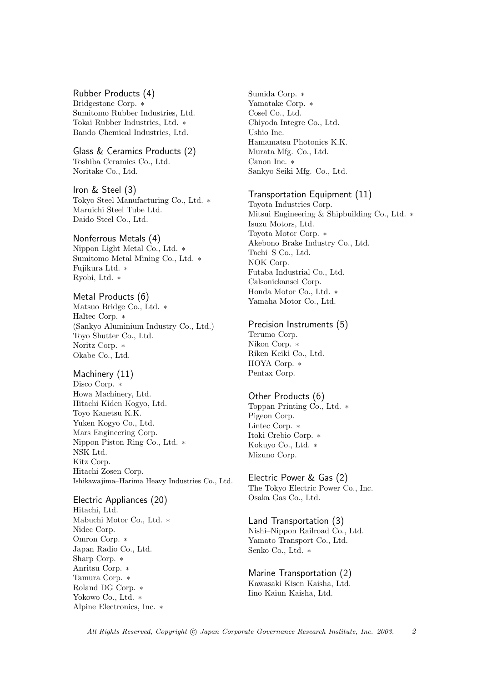# Rubber Products (4)

Bridgestone Corp. ∗ Sumitomo Rubber Industries, Ltd. Tokai Rubber Industries, Ltd. ∗ Bando Chemical Industries, Ltd.

#### Glass & Ceramics Products (2)

Toshiba Ceramics Co., Ltd. Noritake Co., Ltd.

# Iron & Steel (3)

Tokyo Steel Manufacturing Co., Ltd. ∗ Maruichi Steel Tube Ltd. Daido Steel Co., Ltd.

# Nonferrous Metals (4)

Nippon Light Metal Co., Ltd. ∗ Sumitomo Metal Mining Co., Ltd. ∗ Fujikura Ltd. ∗ Ryobi, Ltd. ∗

# Metal Products (6)

Matsuo Bridge Co., Ltd. ∗ Haltec Corp. ∗ (Sankyo Aluminium Industry Co., Ltd.) Toyo Shutter Co., Ltd. Noritz Corp. ∗ Okabe Co., Ltd.

# Machinery (11)

Disco Corp. ∗ Howa Machinery, Ltd. Hitachi Kiden Kogyo, Ltd. Toyo Kanetsu K.K. Yuken Kogyo Co., Ltd. Mars Engineering Corp. Nippon Piston Ring Co., Ltd. ∗ NSK Ltd. Kitz Corp. Hitachi Zosen Corp. Ishikawajima–Harima Heavy Industries Co., Ltd.

Electric Appliances (20) Hitachi, Ltd. Mabuchi Motor Co., Ltd. ∗ Nidec Corp. Omron Corp. ∗ Japan Radio Co., Ltd. Sharp Corp. ∗ Anritsu Corp. ∗ Tamura Corp. ∗ Roland DG Corp. ∗ Yokowo Co., Ltd. ∗ Alpine Electronics, Inc. ∗

Sumida Corp. ∗ Yamatake Corp. ∗ Cosel Co., Ltd. Chiyoda Integre Co., Ltd. Ushio Inc. Hamamatsu Photonics K.K. Murata Mfg. Co., Ltd. Canon Inc. ∗ Sankyo Seiki Mfg. Co., Ltd.

#### Transportation Equipment (11)

Toyota Industries Corp. Mitsui Engineering & Shipbuilding Co., Ltd. ∗ Isuzu Motors, Ltd. Toyota Motor Corp. ∗ Akebono Brake Industry Co., Ltd. Tachi–S Co., Ltd. NOK Corp. Futaba Industrial Co., Ltd. Calsonickansei Corp. Honda Motor Co., Ltd. ∗ Yamaha Motor Co., Ltd.

#### Precision Instruments (5)

Terumo Corp. Nikon Corp. ∗ Riken Keiki Co., Ltd. HOYA Corp. ∗ Pentax Corp.

# Other Products (6)

Toppan Printing Co., Ltd. ∗ Pigeon Corp. Lintec Corp. ∗ Itoki Crebio Corp. ∗ Kokuyo Co., Ltd. ∗ Mizuno Corp.

#### Electric Power & Gas (2)

The Tokyo Electric Power Co., Inc. Osaka Gas Co., Ltd.

# Land Transportation (3)

Nishi–Nippon Railroad Co., Ltd. Yamato Transport Co., Ltd. Senko Co., Ltd. ∗

#### Marine Transportation (2) Kawasaki Kisen Kaisha, Ltd. Iino Kaiun Kaisha, Ltd.